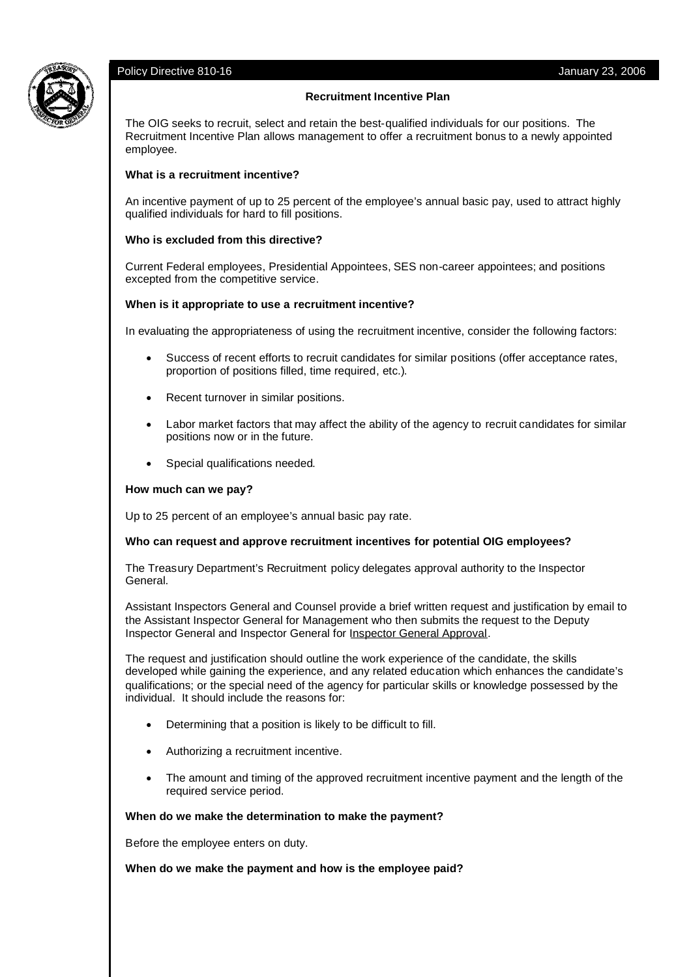# Policy Directive 810-16 **Directive 810-16** January 23, 2006



# **Recruitment Incentive Plan**

The OIG seeks to recruit, select and retain the best-qualified individuals for our positions. The Recruitment Incentive Plan allows management to offer a recruitment bonus to a newly appointed employee.

# **What is a recruitment incentive?**

An incentive payment of up to 25 percent of the employee's annual basic pay, used to attract highly qualified individuals for hard to fill positions.

# **Who is excluded from this directive?**

Current Federal employees, Presidential Appointees, SES non-career appointees; and positions excepted from the competitive service.

# **When is it appropriate to use a recruitment incentive?**

In evaluating the appropriateness of using the recruitment incentive, consider the following factors:

- Success of recent efforts to recruit candidates for similar positions (offer acceptance rates, proportion of positions filled, time required, etc.).
- Recent turnover in similar positions.
- Labor market factors that may affect the ability of the agency to recruit candidates for similar positions now or in the future.
- Special qualifications needed.

### **How much can we pay?**

Up to 25 percent of an employee's annual basic pay rate.

### **Who can request and approve recruitment incentives for potential OIG employees?**

The Treasury Department's Recruitment policy delegates approval authority to the Inspector General.

Assistant Inspectors General and Counsel provide a brief written request and justification by email to the Assistant Inspector General for Management who then submits the request to the Deputy Inspector General and Inspector General for Inspector General Approval.

The request and justification should outline the work experience of the candidate, the skills developed while gaining the experience, and any related education which enhances the candidate's qualifications; or the special need of the agency for particular skills or knowledge possessed by the individual. It should include the reasons for:

- Determining that a position is likely to be difficult to fill.
- Authorizing a recruitment incentive.
- The amount and timing of the approved recruitment incentive payment and the length of the required service period.

#### **When do we make the determination to make the payment?**

Before the employee enters on duty.

# **When do we make the payment and how is the employee paid?**